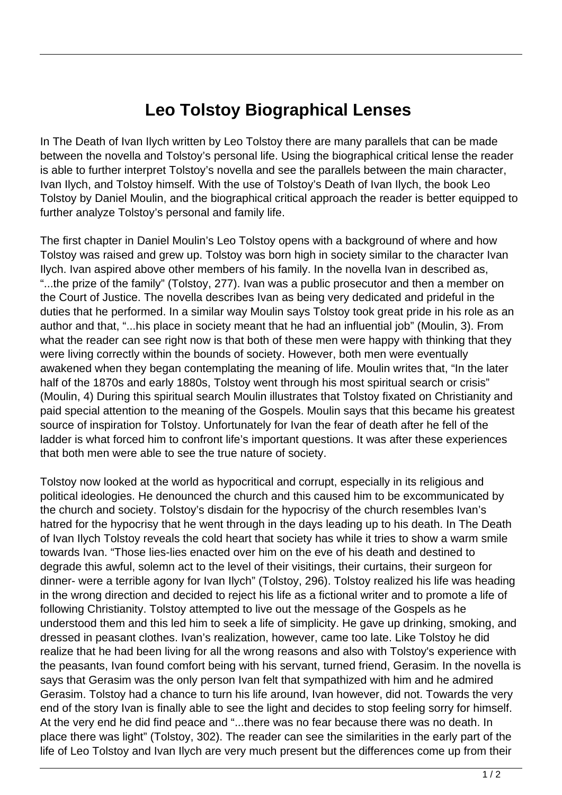## **Leo Tolstoy Biographical Lenses**

In The Death of Ivan Ilych written by Leo Tolstoy there are many parallels that can be made between the novella and Tolstoy's personal life. Using the biographical critical lense the reader is able to further interpret Tolstoy's novella and see the parallels between the main character, Ivan Ilych, and Tolstoy himself. With the use of Tolstoy's Death of Ivan Ilych, the book Leo Tolstoy by Daniel Moulin, and the biographical critical approach the reader is better equipped to further analyze Tolstoy's personal and family life.

The first chapter in Daniel Moulin's Leo Tolstoy opens with a background of where and how Tolstoy was raised and grew up. Tolstoy was born high in society similar to the character Ivan Ilych. Ivan aspired above other members of his family. In the novella Ivan in described as, "...the prize of the family" (Tolstoy, 277). Ivan was a public prosecutor and then a member on the Court of Justice. The novella describes Ivan as being very dedicated and prideful in the duties that he performed. In a similar way Moulin says Tolstoy took great pride in his role as an author and that, "...his place in society meant that he had an influential job" (Moulin, 3). From what the reader can see right now is that both of these men were happy with thinking that they were living correctly within the bounds of society. However, both men were eventually awakened when they began contemplating the meaning of life. Moulin writes that, "In the later half of the 1870s and early 1880s, Tolstoy went through his most spiritual search or crisis" (Moulin, 4) During this spiritual search Moulin illustrates that Tolstoy fixated on Christianity and paid special attention to the meaning of the Gospels. Moulin says that this became his greatest source of inspiration for Tolstoy. Unfortunately for Ivan the fear of death after he fell of the ladder is what forced him to confront life's important questions. It was after these experiences that both men were able to see the true nature of society.

Tolstoy now looked at the world as hypocritical and corrupt, especially in its religious and political ideologies. He denounced the church and this caused him to be excommunicated by the church and society. Tolstoy's disdain for the hypocrisy of the church resembles Ivan's hatred for the hypocrisy that he went through in the days leading up to his death. In The Death of Ivan Ilych Tolstoy reveals the cold heart that society has while it tries to show a warm smile towards Ivan. "Those lies-lies enacted over him on the eve of his death and destined to degrade this awful, solemn act to the level of their visitings, their curtains, their surgeon for dinner- were a terrible agony for Ivan Ilych" (Tolstoy, 296). Tolstoy realized his life was heading in the wrong direction and decided to reject his life as a fictional writer and to promote a life of following Christianity. Tolstoy attempted to live out the message of the Gospels as he understood them and this led him to seek a life of simplicity. He gave up drinking, smoking, and dressed in peasant clothes. Ivan's realization, however, came too late. Like Tolstoy he did realize that he had been living for all the wrong reasons and also with Tolstoy's experience with the peasants, Ivan found comfort being with his servant, turned friend, Gerasim. In the novella is says that Gerasim was the only person Ivan felt that sympathized with him and he admired Gerasim. Tolstoy had a chance to turn his life around, Ivan however, did not. Towards the very end of the story Ivan is finally able to see the light and decides to stop feeling sorry for himself. At the very end he did find peace and "...there was no fear because there was no death. In place there was light" (Tolstoy, 302). The reader can see the similarities in the early part of the life of Leo Tolstoy and Ivan Ilych are very much present but the differences come up from their